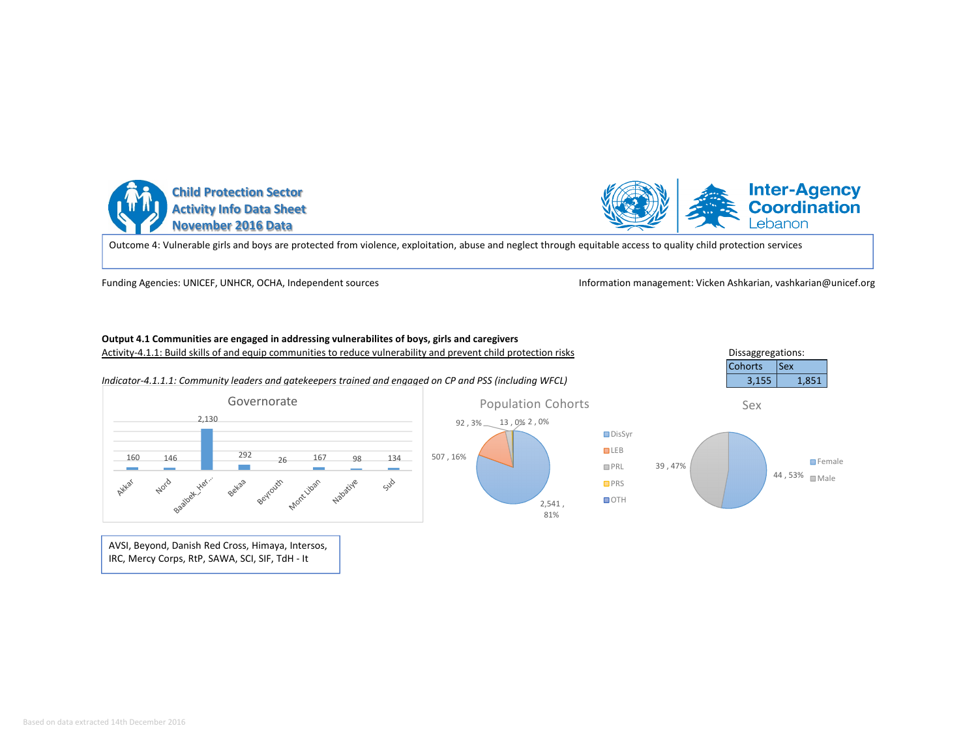



Outcome 4: Vulnerable girls and boys are protected from violence, exploitation, abuse and neglect through equitable access to quality child protection services

Funding Agencies: UNICEF, UNHCR, OCHA, Independent sources

Information management: Vicken Ashkarian, vashkarian@unicef.org

## **Output 4.1 Communities are engaged in addressing vulnerabilites of boys, girls and caregivers**

Activity-4.1.1: Build skills of and equip communities to reduce vulnerability and prevent child protection risks



AVSI, Beyond, Danish Red Cross, Himaya, Intersos, IRC, Mercy Corps, RtP, SAWA, SCI, SIF, TdH - It

92 , 3% 13 , 0% 2 , 0% Population Cohorts

> 2,541 , 81%



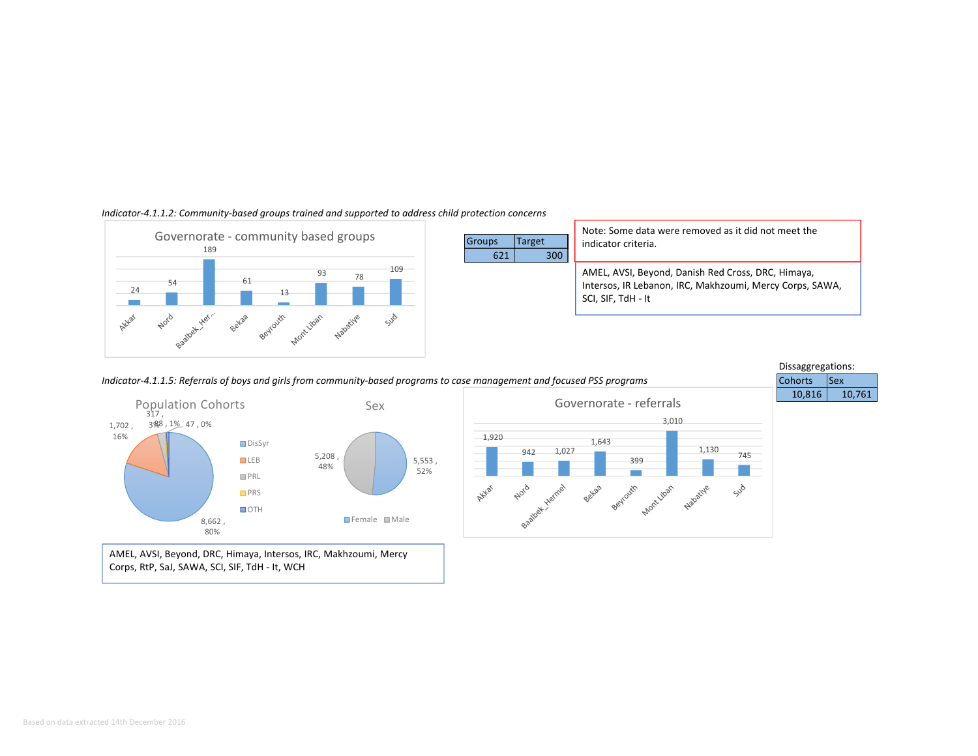

#### *Indicator-4.1.1.2: Community-based groups trained and supported to address child protection concerns*



AMEL, AVSI, Beyond, DRC, Himaya, Intersos, IRC, Makhzoumi, Mercy Corps, RtP, SaJ, SAWA, SCI, SIF, TdH - It, WCH

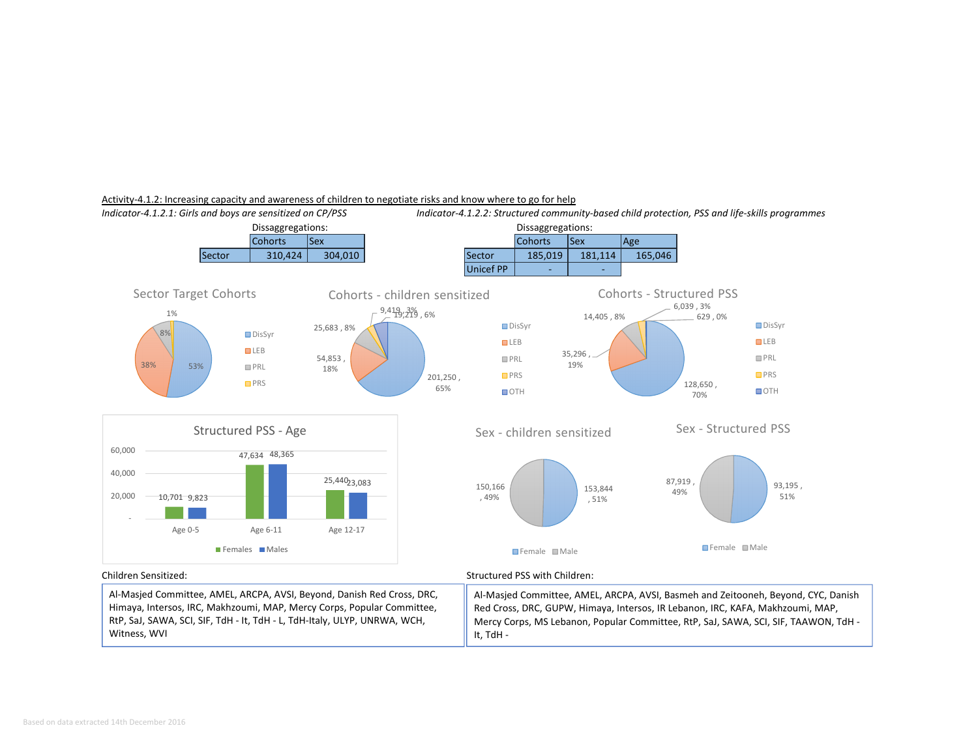

#### Activity-4.1.2: Increasing capacity and awareness of children to negotiate risks and know where to go for help

Al-Masjed Committee, AMEL, ARCPA, AVSI, Beyond, Danish Red Cross, DRC, Himaya, Intersos, IRC, Makhzoumi, MAP, Mercy Corps, Popular Committee, RtP, SaJ, SAWA, SCI, SIF, TdH - It, TdH - L, TdH-Italy, ULYP, UNRWA, WCH, Witness, WVI

Al-Masjed Committee, AMEL, ARCPA, AVSI, Basmeh and Zeitooneh, Beyond, CYC, Danish Red Cross, DRC, GUPW, Himaya, Intersos, IR Lebanon, IRC, KAFA, Makhzoumi, MAP, Mercy Corps, MS Lebanon, Popular Committee, RtP, SaJ, SAWA, SCI, SIF, TAAWON, TdH -

It, TdH -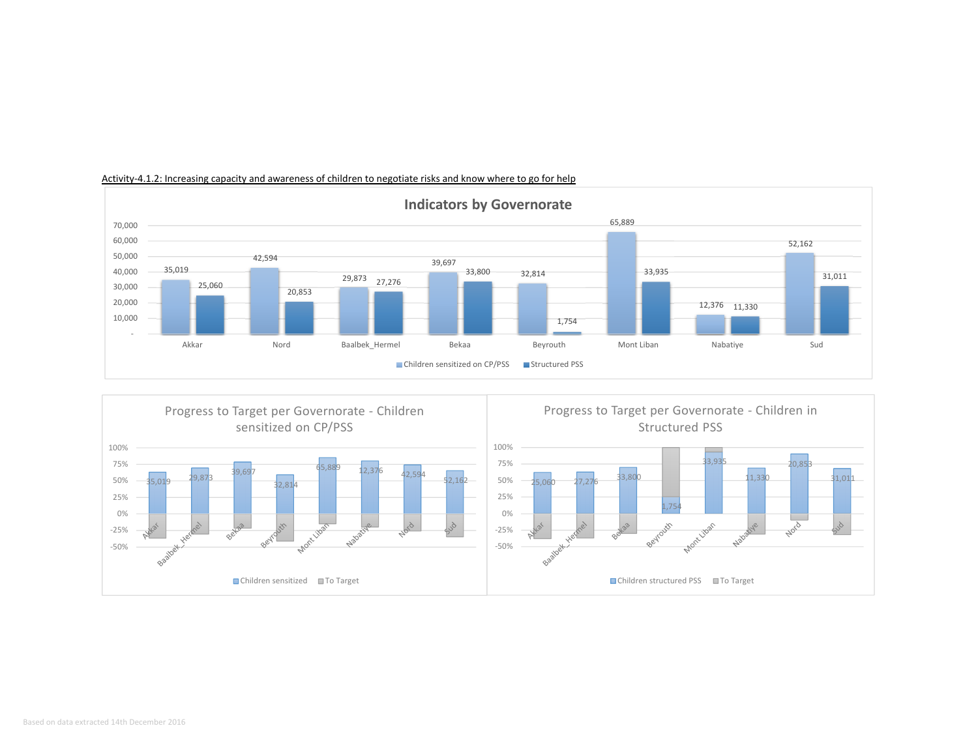

# Activity-4.1.2: Increasing capacity and awareness of children to negotiate risks and know where to go for help

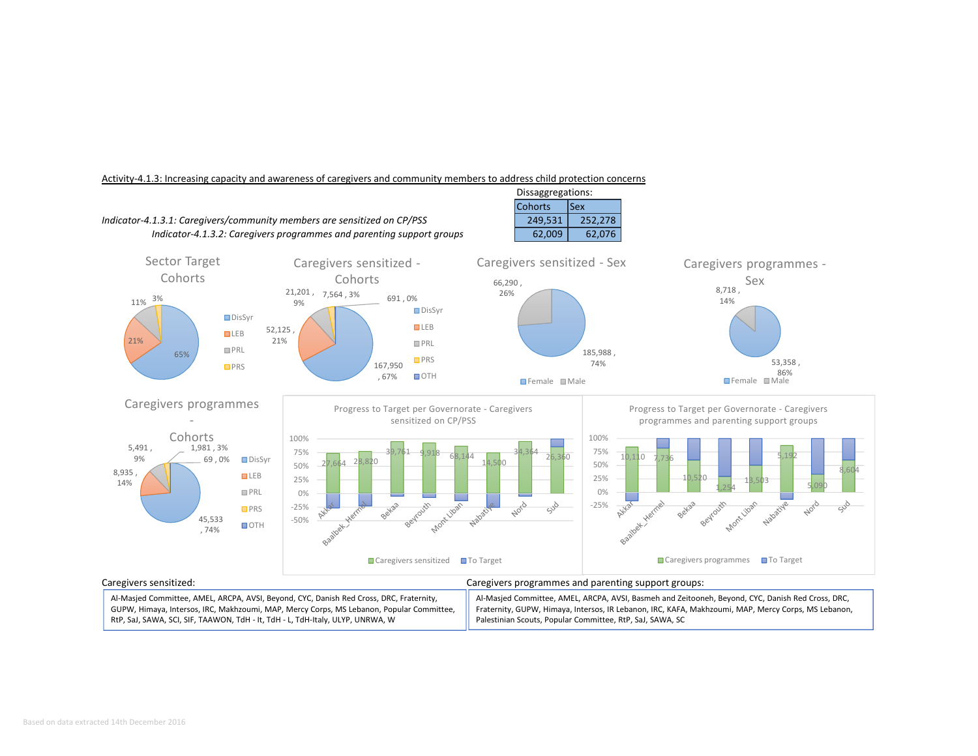

#### Activity-4.1.3: Increasing capacity and awareness of caregivers and community members to address child protection concerns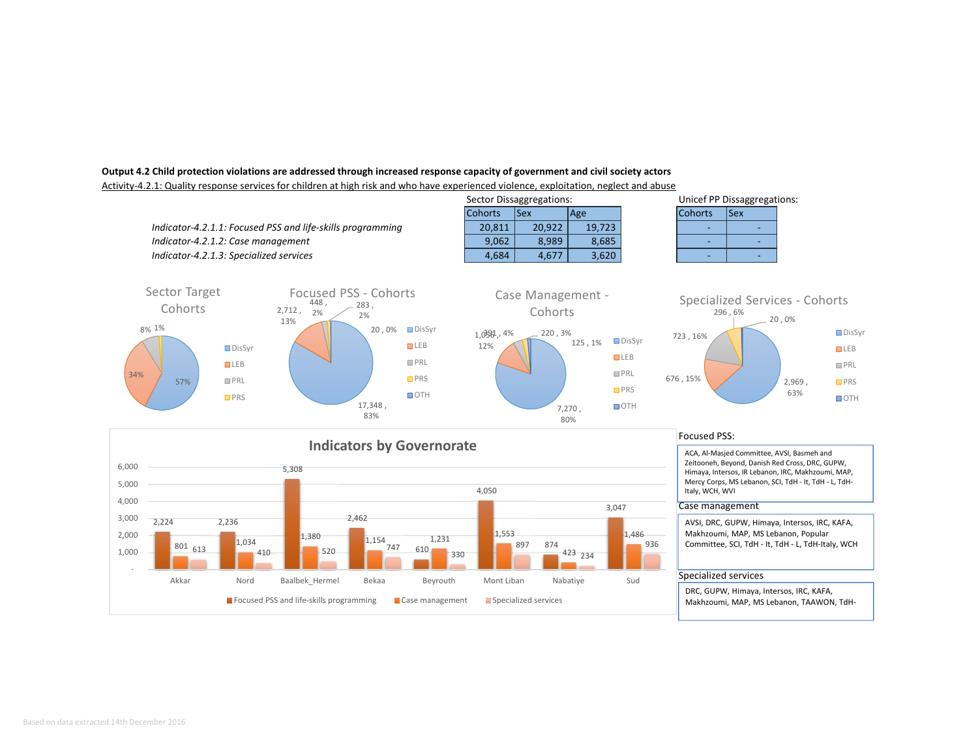## **Output 4.2 Child protection violations are addressed through increased response capacity of government and civil society actors**

Activity-4.2.1: Quality response services for children at high risk and who have experienced violence, exploitation, neglect and abuse



Case management Specialized services

874 423 1,486 936

610

Akkar Nord Baalbek\_Hermel Bekaa Beyrouth Mont Liban Nabatiye Sud

 $\frac{1,034}{410}$  410  $\frac{1}{1}$  520  $\frac{1,134}{47}$  510  $\frac{1,234}{330}$  897 874 423  $_{234}$  423  $_{234}$ 

 $\begin{array}{|c|c|c|c|c|}\n\hline\n801 & 612 & 1,034 & 1,380 & 1,154 & 1,231 & 1,553 \\
\hline\n\end{array}$ 

Focused PSS and life-skills programming

AVSI, DRC, GUPW, Himaya, Intersos, IRC, KAFA, Makhzoumi, MAP, MS Lebanon, Popular Committee, SCI, TdH - It, TdH - L, TdH-Italy, WCH

## Specialized services

DRC, GUPW, Himaya, Intersos, IRC, KAFA, Makhzoumi, MAP, MS Lebanon, TAAWON, TdH-

 - 1,0002,000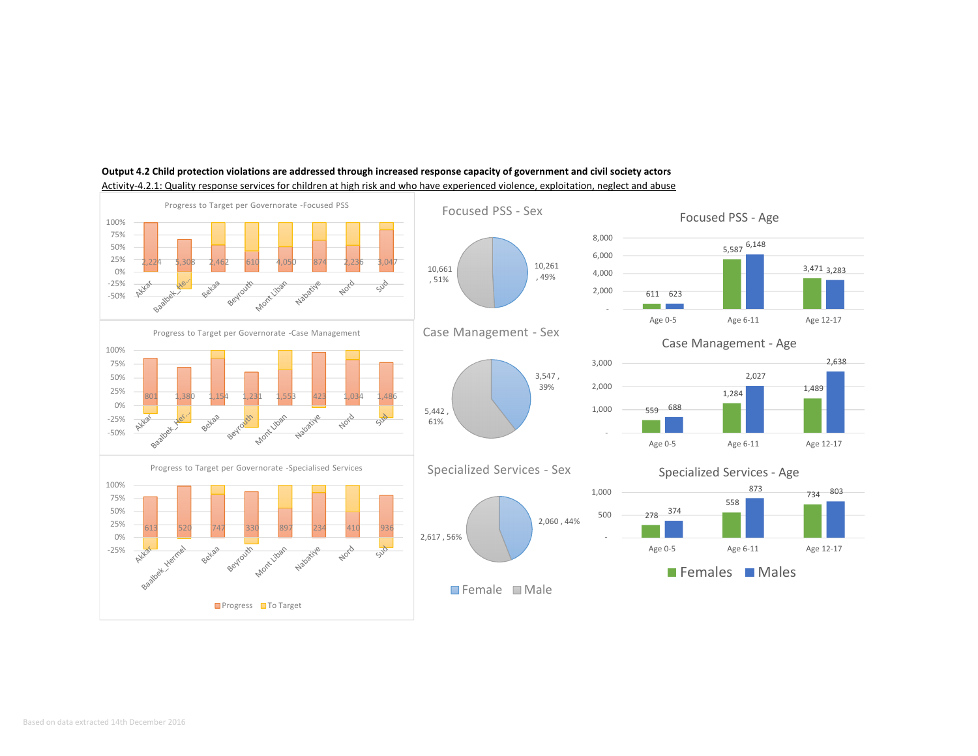

# **Output 4.2 Child protection violations are addressed through increased response capacity of government and civil society actors**

Activity-4.2.1: Quality response services for children at high risk and who have experienced violence, exploitation, neglect and abuse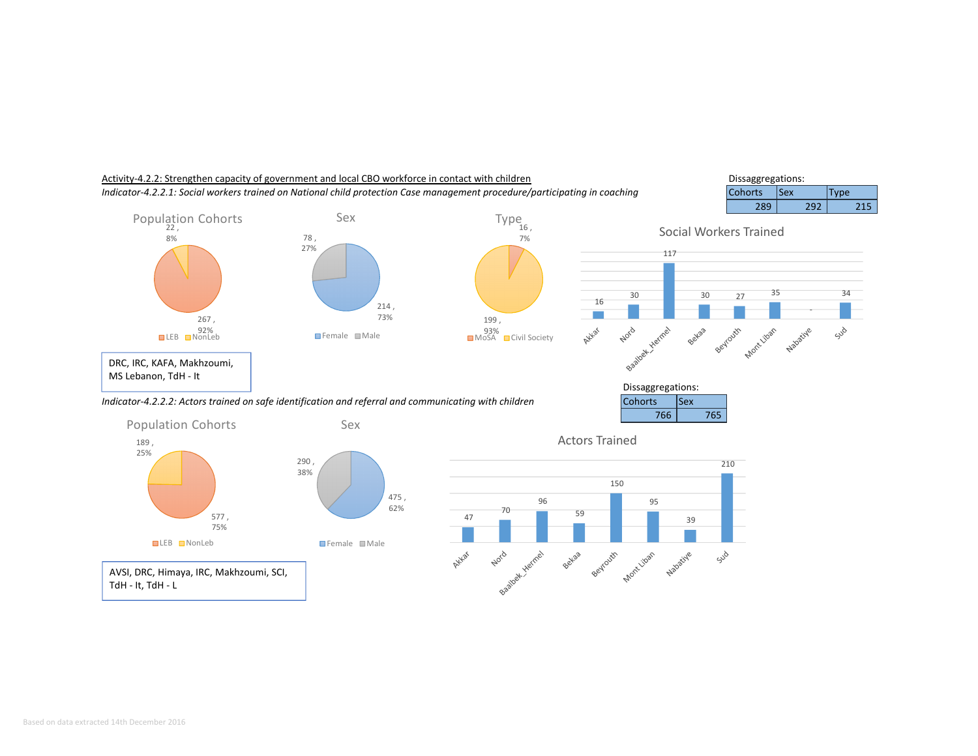

AVSI, DRC, Himaya, IRC, Makhzoumi, SCI, TdH - It, TdH - <sup>L</sup>

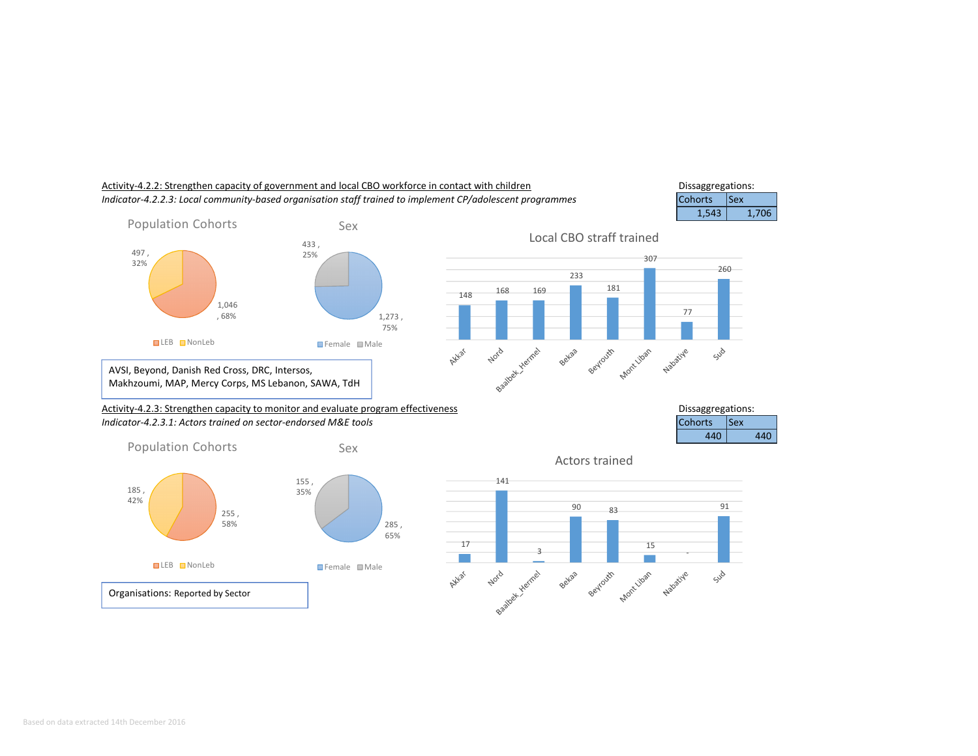

Dissaggregations:

# Activity-4.2.2: Strengthen capacity of government and local CBO workforce in contact with children*Indicator-4.2.2.3: Local community-based organisation staff trained to implement CP/adolescent programmes*